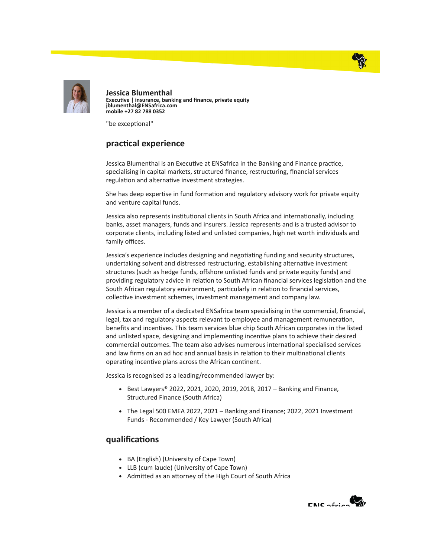



Jessica Blumenthal Executive | insurance, banking and finance, private equity jblumenthal@ENSafrica.com mobile +27 82 788 0352

"be exceptional"

## practical experience

Jessica Blumenthal is an Executive at ENSafrica in the Banking and Finance practice, specialising in capital markets, structured finance, restructuring, financial services regulation and alternative investment strategies.

She has deep expertise in fund formation and regulatory advisory work for private equity and venture capital funds.

Jessica also represents institutional clients in South Africa and internationally, including banks, asset managers, funds and insurers. Jessica represents and is a trusted advisor to corporate clients, including listed and unlisted companies, high net worth individuals and family offices.

Jessica's experience includes designing and negotiating funding and security structures, undertaking solvent and distressed restructuring, establishing alternative investment structures (such as hedge funds, offshore unlisted funds and private equity funds) and providing regulatory advice in relation to South African financial services legislation and the South African regulatory environment, particularly in relation to financial services, collective investment schemes, investment management and company law.

Jessica is a member of a dedicated ENSafrica team specialising in the commercial, financial, legal, tax and regulatory aspects relevant to employee and management remuneration, benefits and incentives. This team services blue chip South African corporates in the listed and unlisted space, designing and implementing incentive plans to achieve their desired commercial outcomes. The team also advises numerous international specialised services and law firms on an ad hoc and annual basis in relation to their multinational clients operating incentive plans across the African continent.

Jessica is recognised as a leading/recommended lawyer by:

- Best Lawyers® 2022, 2021, 2020, 2019, 2018, 2017 Banking and Finance, Structured Finance (South Africa)
- The Legal 500 EMEA 2022, 2021 Banking and Finance; 2022, 2021 Investment Funds - Recommended / Key Lawyer (South Africa)

## qualifications

- BA (English) (University of Cape Town)
- LLB (cum laude) (University of Cape Town)
- Admitted as an attorney of the High Court of South Africa